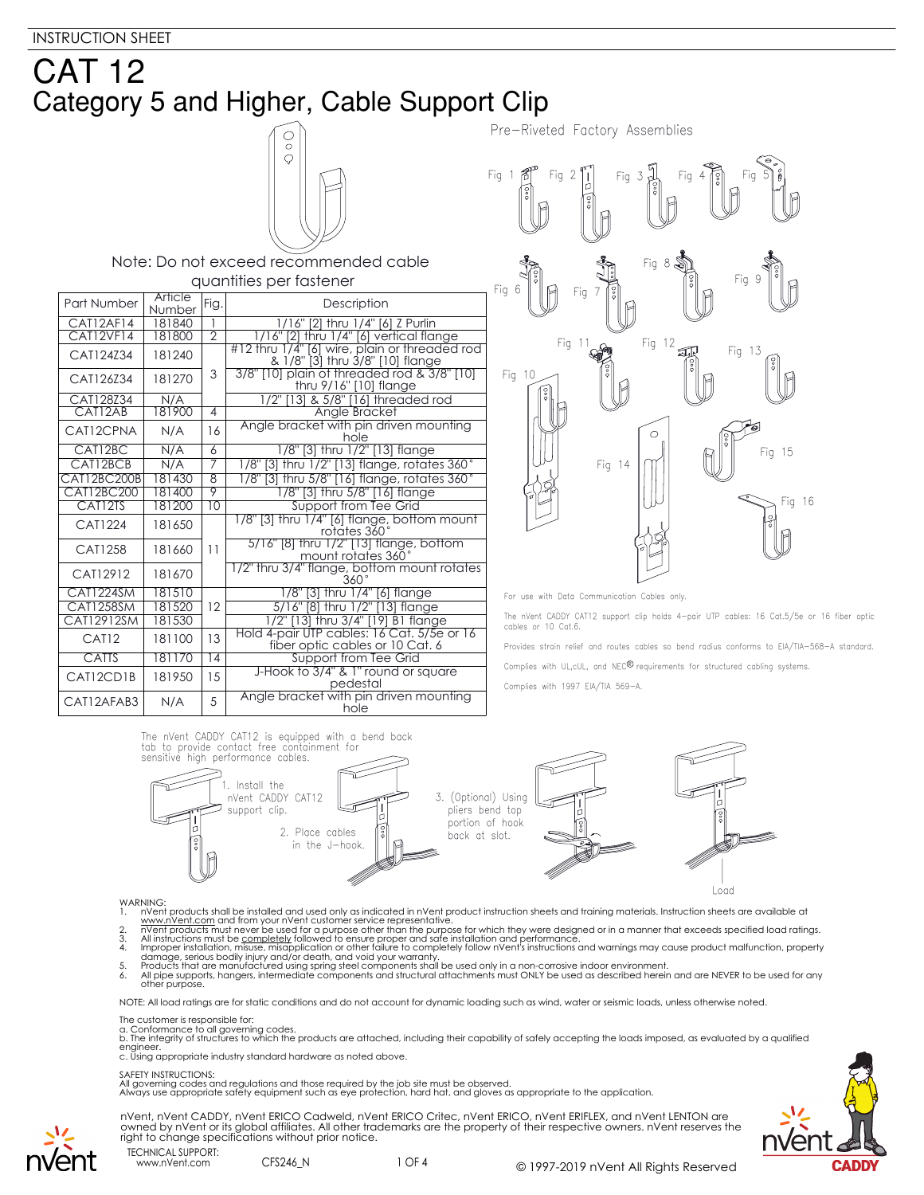



#### WARNING:

- 
- 
- 1. In Went products shall be installed and used only as indicated in n'vent product instruction sheets and training materials. Instruction sheets are available at www.n'vent.com and from your n'vent customer service repres
- 
- 

NOTE: All load ratings are for static conditions and do not account for dynamic loading such as wind, water or seismic loads, unless otherwise noted.

The customer is responsible for:

a. Conformance to all governing codes.<br>b. The integrity of structures to which the products are attached, including their capability of safely accepting the loads imposed, as evaluated by a qualified engineer. c. Using appropriate industry standard hardware as noted above.

#### SAFETY INSTRUCTIONS:

All governing codes and regulations and those required by the job site must be observed. Always use appropriate safety equipment such as eye protection, hard hat, and gloves as appropriate to the application.



nVent, nVent CADDY, nVent ERICO Cadweld, nVent ERICO Critec, nVent ERICO, nVent ERIFLEX, and nVent LENTON are owned by nVent or its global affiliates. All other trademarks are the property of their respective owners. nVent reserves the right to change specifications without prior notice.

TECHNICAL SUPPORT: www.nVent.com CFS246 N

vent

1 OF 4 © 1997-2019 nVent All Rights Reserved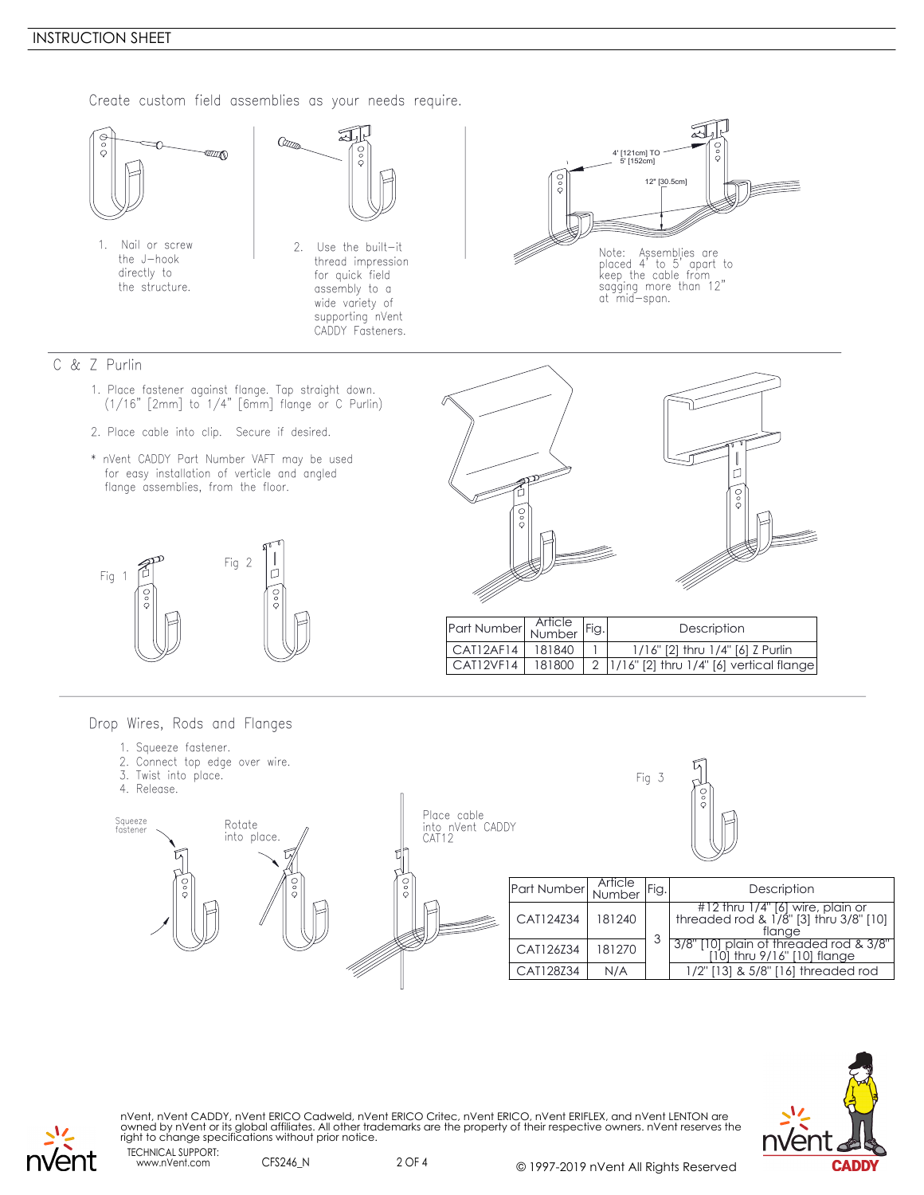#### INSTRUCTION SHEET

Create custom field assemblies as your needs require.



\* nVent CADDY Part Number VAFT may be used for easy installation of verticle and angled flange assemblies, from the floor.





| Part Number Article |        | Fig. | Description                                 |
|---------------------|--------|------|---------------------------------------------|
| CAT12AF14           | 181840 |      | 1/16" [2] thru 1/4" [6] Z Purlin            |
| CAT12VF14           | 181800 |      | 2   1/16" [2] thru 1/4" [6] vertical flange |

Drop Wires, Rods and Flanges

- 1. Squeeze fastener.
- 2. Connect top edge over wire.
- 





nVent, nVent CADDY, nVent ERICO Cadweld, nVent ERICO Critec, nVent ERICO, nVent ERIFLEX, and nVent LENTON are<br>owned by nVent or its global affiliates. All other trademarks are the property of their respective owners. nVent right to change specifications without prior notice.

TECHNICAL SUPPORT: nvent

www.nVent.com CFS246\_N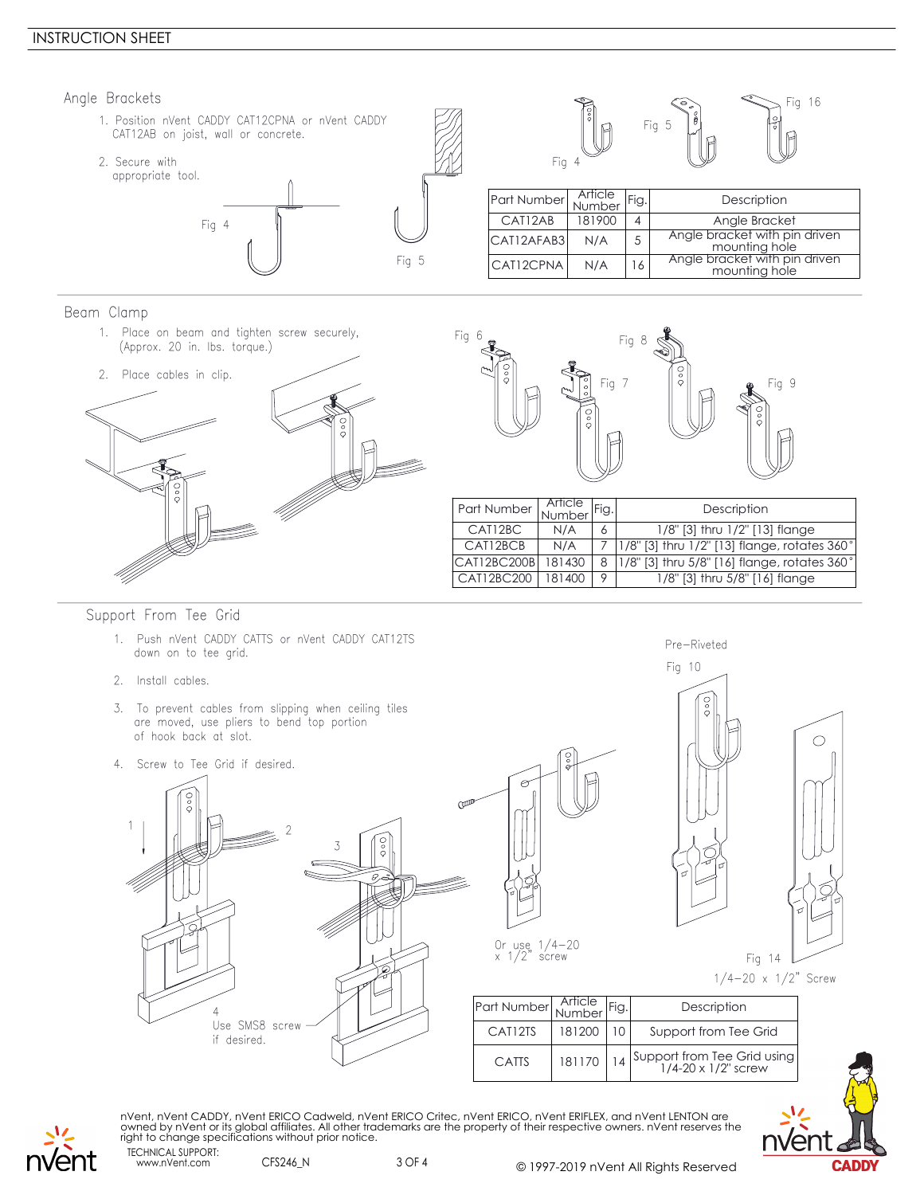## INSTRUCTION SHEET

Fig 5 1. Position nVent CADDY CAT12CPNA or nVent CADDY CAT12AB on joist, wall or concrete. 2. Secure with appropriate tool. Fig 4 Angle Brackets Fig 16 Fig 5 Fig 4 Part Number Article<br>Number Arricle Fig. Description<br>
181900 4 Angle Bracke CAT12AB 181900 4 Angle Bracket<br>
AT12AEAB3 N/A 5 Angle bracket with pin driven  $CAI12AFAB3$   $N/A$   $5$  Angle bracket with pin driven<br>mounting hole  $CAI12CPNA$   $N/A$   $16$   $ABP$  angle bracket with pin driven mounting hole

Beam Clamp

1. Place on beam and tighten screw securely, (Approx. 20 in. lbs. torque.)





|                       |   | Description                                                   |
|-----------------------|---|---------------------------------------------------------------|
| N/A                   |   | 1/8" [3] thru 1/2" [13] flange                                |
| N/A                   |   | $ 1/8$ " [3] thru $1/2$ " [13] flange, rotates 360 $^{\circ}$ |
| 181430<br>CAT12BC200B | 8 | 1/8" [3] thru 5/8" [16] flange, rotates 360°                  |
| 181400                | O | 1/8" [3] thru 5/8" [16] flange                                |
|                       |   | Article<br>Number Fig.                                        |

Pre-Riveted

## Support From Tee Grid

- 1. Push nVent CADDY CATTS or nVent CADDY CAT12TS down on to tee grid.
- 2. Install cables.
- 3. To prevent cables from slipping when ceiling tiles are moved, use pliers to bend top portion of hook back at slot.
- 4. Screw to Tee Grid if desired.







Or use 1/4-20 x 1/2" screw

| Part Number Article Fig. |        | Description                                        |
|--------------------------|--------|----------------------------------------------------|
| CAT12TS                  | 181200 | Support from Tee Grid                              |
| <b>CATTS</b>             | 181170 | Support from Tee Grid using<br>1/4-20 x 1/2" screw |



TECHNICAL SUPPORT: nVent, nVent CADDY, nVent ERICO Cadweld, nVent ERICO Critec, nVent ERICO, nVent ERIFLEX, and nVent LENTON are<br>owned by nVent or its global affiliates. All other trademarks are the property of their respective owners. nVent right to change specifications without prior notice.



www.nVent.com CFS246\_N